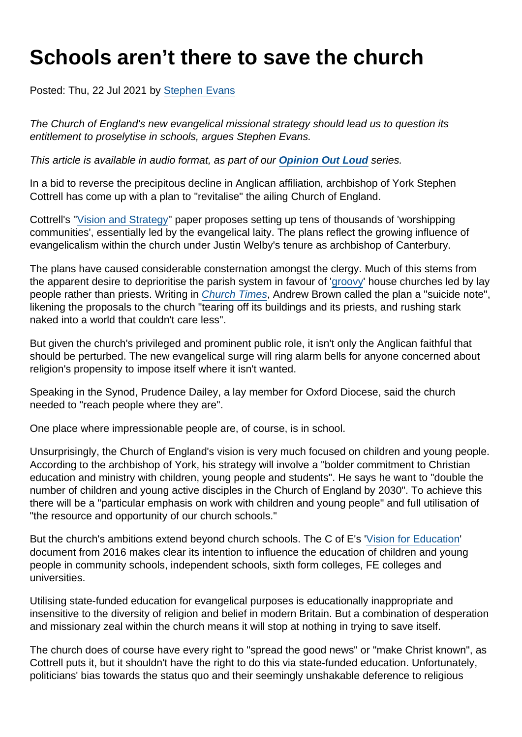# Schools aren't there to save the church

Posted: Thu, 22 Jul 2021 by [Stephen Evans](https://www.secularism.org.uk/opinion/authors/845)

The Church of England's new evangelical missional strategy should lead us to question its entitlement to proselytise in schools, argues Stephen Evans.

This article is available in audio format, as part of our [Opinion Out Loud](https://www.secularism.org.uk/podcast/tags/opinion+out+loud) series.

In a bid to reverse the precipitous decline in Anglican affiliation, archbishop of York Stephen Cottrell has come up with a plan to "revitalise" the ailing Church of England.

Cottrell's "[Vision and Strategy"](https://www.churchofengland.org/sites/default/files/2021-06/GS 2223 Vision and Strategy.pdf) paper proposes setting up tens of thousands of 'worshipping communities', essentially led by the evangelical laity. The plans reflect the growing influence of evangelicalism within the church under Justin Welby's tenure as archbishop of Canterbury.

The plans have caused considerable consternation amongst the clergy. Much of this stems from the apparent desire to deprioritise the parish system in favour of '[groovy](https://www.telegraph.co.uk/news/2021/07/05/10000-new-churches-without-vicars-archbishops-plan-tackle/)' house churches led by lay people rather than priests. Writing in [Church Times,](https://www.churchtimes.co.uk/articles/2021/9-july/comment/columnists/press-atheists-and-christians-can-both-deny-reality) Andrew Brown called the plan a "suicide note", likening the proposals to the church "tearing off its buildings and its priests, and rushing stark naked into a world that couldn't care less".

But given the church's privileged and prominent public role, it isn't only the Anglican faithful that should be perturbed. The new evangelical surge will ring alarm bells for anyone concerned about religion's propensity to impose itself where it isn't wanted.

Speaking in the Synod, Prudence Dailey, a lay member for Oxford Diocese, said the church needed to "reach people where they are".

One place where impressionable people are, of course, is in school.

Unsurprisingly, the Church of England's vision is very much focused on children and young people. According to the archbishop of York, his strategy will involve a "bolder commitment to Christian education and ministry with children, young people and students". He says he want to "double the number of children and young active disciples in the Church of England by 2030". To achieve this there will be a "particular emphasis on work with children and young people" and full utilisation of "the resource and opportunity of our church schools."

But the church's ambitions extend beyond church schools. The C of E's '[Vision for Education](https://cofefoundation.contentfiles.net/media/assets/file/Church_of_England_Vision_for_Education_-_2016_jdYA7EO.pdf)' document from 2016 makes clear its intention to influence the education of children and young people in community schools, independent schools, sixth form colleges, FE colleges and universities.

Utilising state-funded education for evangelical purposes is educationally inappropriate and insensitive to the diversity of religion and belief in modern Britain. But a combination of desperation and missionary zeal within the church means it will stop at nothing in trying to save itself.

The church does of course have every right to "spread the good news" or "make Christ known", as Cottrell puts it, but it shouldn't have the right to do this via state-funded education. Unfortunately, politicians' bias towards the status quo and their seemingly unshakable deference to religious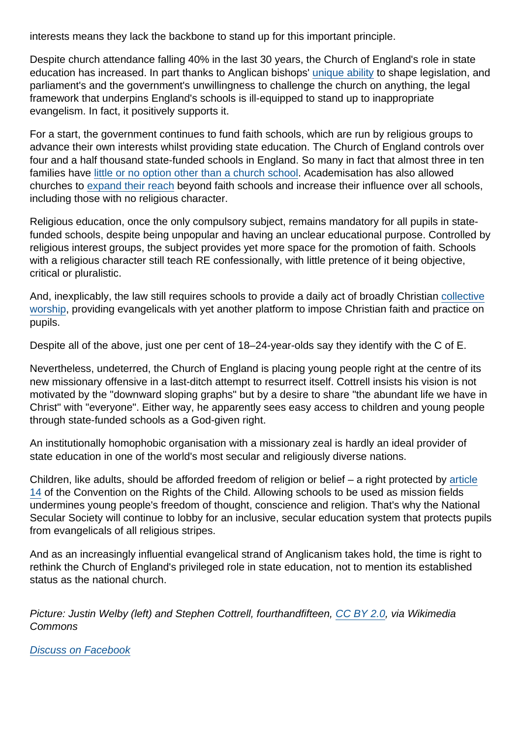interests means they lack the backbone to stand up for this important principle.

Despite church attendance falling 40% in the last 30 years, the Church of England's role in state education has increased. In part thanks to Anglican bishops' [unique ability](https://www.secularism.org.uk/scrap-bishops-bench/) to shape legislation, and parliament's and the government's unwillingness to challenge the church on anything, the legal framework that underpins England's schools is ill-equipped to stand up to inappropriate evangelism. In fact, it positively supports it.

For a start, the government continues to fund faith schools, which are run by religious groups to advance their own interests whilst providing state education. The Church of England controls over four and a half thousand state-funded schools in England. So many in fact that almost three in ten families have [little or no option other than a church school](https://www.secularism.org.uk/faith-schools/choicedelusion.html). Academisation has also allowed churches to [expand their reach](https://www.secularism.org.uk/news/2020/10/academisation-leading-to-more-religious-control-of-schools-nss-finds) beyond faith schools and increase their influence over all schools, including those with no religious character.

Religious education, once the only compulsory subject, remains mandatory for all pupils in statefunded schools, despite being unpopular and having an unclear educational purpose. Controlled by religious interest groups, the subject provides yet more space for the promotion of faith. Schools with a religious character still teach RE confessionally, with little pretence of it being objective, critical or pluralistic.

And, inexplicably, the law still requires schools to provide a daily act of broadly Christian [collective](https://www.secularism.org.uk/end-compulsory-worship/) [worship](https://www.secularism.org.uk/end-compulsory-worship/), providing evangelicals with yet another platform to impose Christian faith and practice on pupils.

Despite all of the above, just one per cent of 18–24-year-olds say they identify with the C of E.

Nevertheless, undeterred, the Church of England is placing young people right at the centre of its new missionary offensive in a last-ditch attempt to resurrect itself. Cottrell insists his vision is not motivated by the "downward sloping graphs" but by a desire to share "the abundant life we have in Christ" with "everyone". Either way, he apparently sees easy access to children and young people through state-funded schools as a God-given right.

An institutionally homophobic organisation with a missionary zeal is hardly an ideal provider of state education in one of the world's most secular and religiously diverse nations.

Children, like adults, should be afforded freedom of religion or belief – a right protected by [article](https://cypcs.org.uk/rights/uncrc/articles/article-14/) [14](https://cypcs.org.uk/rights/uncrc/articles/article-14/) of the Convention on the Rights of the Child. Allowing schools to be used as mission fields undermines young people's freedom of thought, conscience and religion. That's why the National Secular Society will continue to lobby for an inclusive, secular education system that protects pupils from evangelicals of all religious stripes.

And as an increasingly influential evangelical strand of Anglicanism takes hold, the time is right to rethink the Church of England's privileged role in state education, not to mention its established status as the national church.

Picture: Justin Welby (left) and Stephen Cottrell, fourthandfifteen, [CC BY 2.0,](https://creativecommons.org/licenses/by/2.0/) via Wikimedia Commons

[Discuss on Facebook](https://www.facebook.com/NationalSecularSociety/posts/4174159405985712?__cft__[0]=AZWTMFDVd2MZ64hfMoWovYz8PP5PruwMMYtziWQJqWEzetzfvQL6bhXfZXt4q2GGXXKnZ3oFEaC9Kk-aScF5l0KisAc86sK_N7_zIg-SPlBGVenwbCpPE7u2hmf7sQWKQY-44i3cyZHDtxxjWxnE3O-B9O8iUnABO99qdFX4fz6ZYdTGjPZcxZSHlKSS2ZnffEI&__tn__=,O,P-R)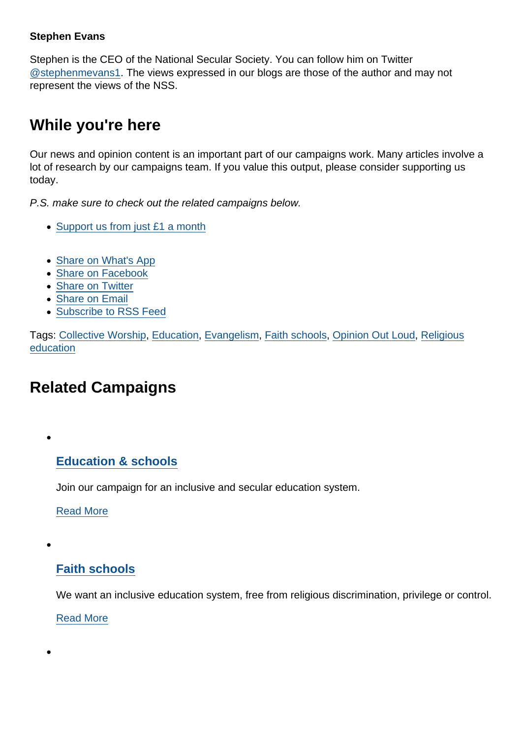#### Stephen Evans

Stephen is the CEO of the National Secular Society. You can follow him on Twitter [@stephenmevans1.](https://twitter.com/stephenmevans1?lang=en-gb) The views expressed in our blogs are those of the author and may not represent the views of the NSS.

## While you're here

Our news and opinion content is an important part of our campaigns work. Many articles involve a lot of research by our campaigns team. If you value this output, please consider supporting us today.

P.S. make sure to check out the related campaigns below.

- [Support us from just £1 a month](https://www.secularism.org.uk/donate.html)
- [Share on What's App](whatsapp://send?text=http://www.secularism.org.uk/opinion/2021/07/schools-arent-there-to-save-the-church?format=pdf)
- [Share on Facebook](https://www.facebook.com/sharer/sharer.php?u=http://www.secularism.org.uk/opinion/2021/07/schools-arent-there-to-save-the-church?format=pdf&t=Schools+aren’t+there+to+save+the+church)
- [Share on Twitter](https://twitter.com/intent/tweet?url=http://www.secularism.org.uk/opinion/2021/07/schools-arent-there-to-save-the-church?format=pdf&text=Schools+aren’t+there+to+save+the+church&via=NatSecSoc)
- [Share on Email](https://www.secularism.org.uk/share.html?url=http://www.secularism.org.uk/opinion/2021/07/schools-arent-there-to-save-the-church?format=pdf&title=Schools+aren’t+there+to+save+the+church)
- [Subscribe to RSS Feed](/mnt/web-data/www/cp-nss/feeds/rss/news)

Tags: [Collective Worship,](https://www.secularism.org.uk/opinion/tags/Collective+Worship) [Education,](https://www.secularism.org.uk/opinion/tags/Education) [Evangelism](https://www.secularism.org.uk/opinion/tags/Evangelism), [Faith schools,](https://www.secularism.org.uk/opinion/tags/Faith+schools) [Opinion Out Loud,](https://www.secularism.org.uk/opinion/tags/Opinion+Out+Loud) [Religious](https://www.secularism.org.uk/opinion/tags/Religious+education) [education](https://www.secularism.org.uk/opinion/tags/Religious+education)

# Related Campaigns

[Education & schools](https://www.secularism.org.uk/education/)

Join our campaign for an inclusive and secular education system.

[Read More](https://www.secularism.org.uk/education/)

[Faith schools](https://www.secularism.org.uk/faith-schools/)

We want an inclusive education system, free from religious discrimination, privilege or control.

[Read More](https://www.secularism.org.uk/faith-schools/)